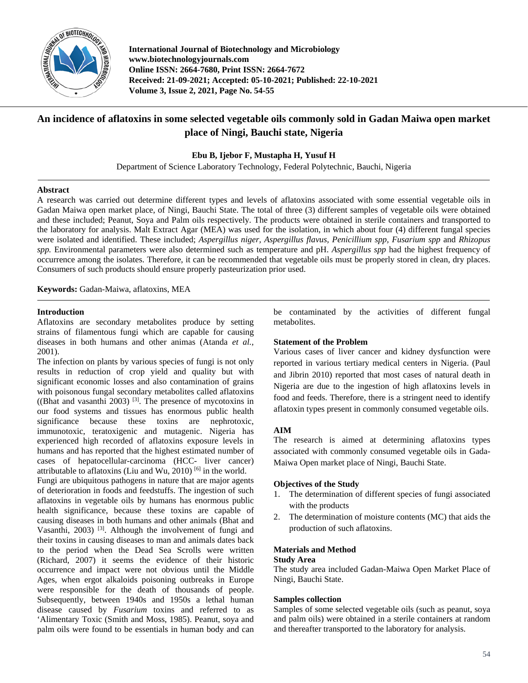

**International Journal of Biotechnology and Microbiology www.biotechnologyjournals.com Online ISSN: 2664-7680, Print ISSN: 2664-7672 Received: 21-09-2021; Accepted: 05-10-2021; Published: 22-10-2021 Volume 3, Issue 2, 2021, Page No. 54-55**

# **An incidence of aflatoxins in some selected vegetable oils commonly sold in Gadan Maiwa open market place of Ningi, Bauchi state, Nigeria**

**Ebu B, Ijebor F, Mustapha H, Yusuf H**

Department of Science Laboratory Technology, Federal Polytechnic, Bauchi, Nigeria

## **Abstract**

A research was carried out determine different types and levels of aflatoxins associated with some essential vegetable oils in Gadan Maiwa open market place, of Ningi, Bauchi State. The total of three (3) different samples of vegetable oils were obtained and these included; Peanut, Soya and Palm oils respectively. The products were obtained in sterile containers and transported to the laboratory for analysis. Malt Extract Agar (MEA) was used for the isolation, in which about four (4) different fungal species were isolated and identified. These included; *Aspergillus niger, Aspergillus flavus, Penicillium spp, Fusarium spp* and *Rhizopus spp.* Environmental parameters were also determined such as temperature and pH. *Aspergillus spp* had the highest frequency of occurrence among the isolates. Therefore, it can be recommended that vegetable oils must be properly stored in clean, dry places. Consumers of such products should ensure properly pasteurization prior used.

**Keywords:** Gadan-Maiwa, aflatoxins, MEA

## **Introduction**

Aflatoxins are secondary metabolites produce by setting strains of filamentous fungi which are capable for causing diseases in both humans and other animas (Atanda *et al.,*  2001).

The infection on plants by various species of fungi is not only results in reduction of crop yield and quality but with significant economic losses and also contamination of grains with poisonous fungal secondary metabolites called aflatoxins ((Bhat and vasanthi 2003)  $^{[3]}$ . The presence of mycotoxins in our food systems and tissues has enormous public health significance because these toxins are nephrotoxic, immunotoxic, teratoxigenic and mutagenic. Nigeria has experienced high recorded of aflatoxins exposure levels in humans and has reported that the highest estimated number of cases of hepatocellular-carcinoma (HCC- liver cancer) attributable to aflatoxins (Liu and Wu, 2010) <sup>[6]</sup> in the world.

Fungi are ubiquitous pathogens in nature that are major agents of deterioration in foods and feedstuffs. The ingestion of such aflatoxins in vegetable oils by humans has enormous public health significance, because these toxins are capable of causing diseases in both humans and other animals (Bhat and Vasanthi, 2003) [3]. Although the involvement of fungi and their toxins in causing diseases to man and animals dates back to the period when the Dead Sea Scrolls were written (Richard, 2007) it seems the evidence of their historic occurrence and impact were not obvious until the Middle Ages, when ergot alkaloids poisoning outbreaks in Europe were responsible for the death of thousands of people. Subsequently, between 1940s and 1950s a lethal human disease caused by *Fusarium* toxins and referred to as 'Alimentary Toxic (Smith and Moss, 1985). Peanut, soya and palm oils were found to be essentials in human body and can

be contaminated by the activities of different fungal metabolites.

## **Statement of the Problem**

Various cases of liver cancer and kidney dysfunction were reported in various tertiary medical centers in Nigeria. (Paul and Jibrin 2010) reported that most cases of natural death in Nigeria are due to the ingestion of high aflatoxins levels in food and feeds. Therefore, there is a stringent need to identify aflatoxin types present in commonly consumed vegetable oils.

# **AIM**

The research is aimed at determining aflatoxins types associated with commonly consumed vegetable oils in Gada-Maiwa Open market place of Ningi, Bauchi State.

# **Objectives of the Study**

- 1. The determination of different species of fungi associated with the products
- 2. The determination of moisture contents (MC) that aids the production of such aflatoxins.

### **Materials and Method**

### **Study Area**

The study area included Gadan-Maiwa Open Market Place of Ningi, Bauchi State.

# **Samples collection**

Samples of some selected vegetable oils (such as peanut, soya and palm oils) were obtained in a sterile containers at random and thereafter transported to the laboratory for analysis.